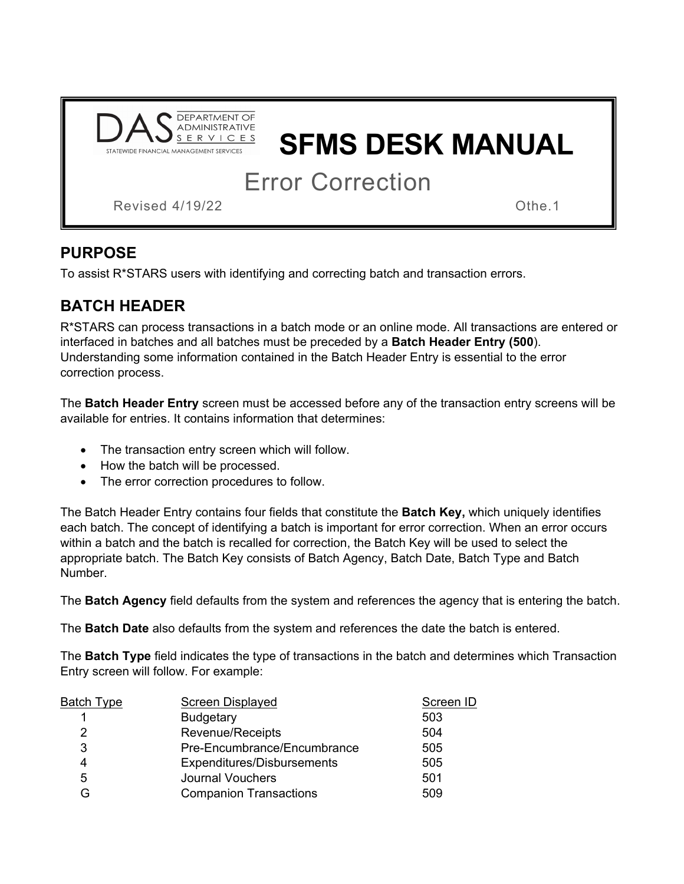

# **SFMS DESK MANUAL**

Error Correction

Revised 4/19/22 **Contract Services** Canadian Communication of the 1

## **PURPOSE**

To assist R\*STARS users with identifying and correcting batch and transaction errors.

# **BATCH HEADER**

R\*STARS can process transactions in a batch mode or an online mode. All transactions are entered or interfaced in batches and all batches must be preceded by a **Batch Header Entry (500**). Understanding some information contained in the Batch Header Entry is essential to the error correction process.

The **Batch Header Entry** screen must be accessed before any of the transaction entry screens will be available for entries. It contains information that determines:

- The transaction entry screen which will follow.
- How the batch will be processed.
- The error correction procedures to follow.

The Batch Header Entry contains four fields that constitute the **Batch Key,** which uniquely identifies each batch. The concept of identifying a batch is important for error correction. When an error occurs within a batch and the batch is recalled for correction, the Batch Key will be used to select the appropriate batch. The Batch Key consists of Batch Agency, Batch Date, Batch Type and Batch Number.

The **Batch Agency** field defaults from the system and references the agency that is entering the batch.

The **Batch Date** also defaults from the system and references the date the batch is entered.

The **Batch Type** field indicates the type of transactions in the batch and determines which Transaction Entry screen will follow. For example:

| <u>Batch Type</u> | <b>Screen Displayed</b>       | Screen ID |
|-------------------|-------------------------------|-----------|
|                   | <b>Budgetary</b>              | 503       |
| 2                 | Revenue/Receipts              | 504       |
| 3                 | Pre-Encumbrance/Encumbrance   | 505       |
| 4                 | Expenditures/Disbursements    | 505       |
| 5                 | <b>Journal Vouchers</b>       | 501       |
| G                 | <b>Companion Transactions</b> | 509       |
|                   |                               |           |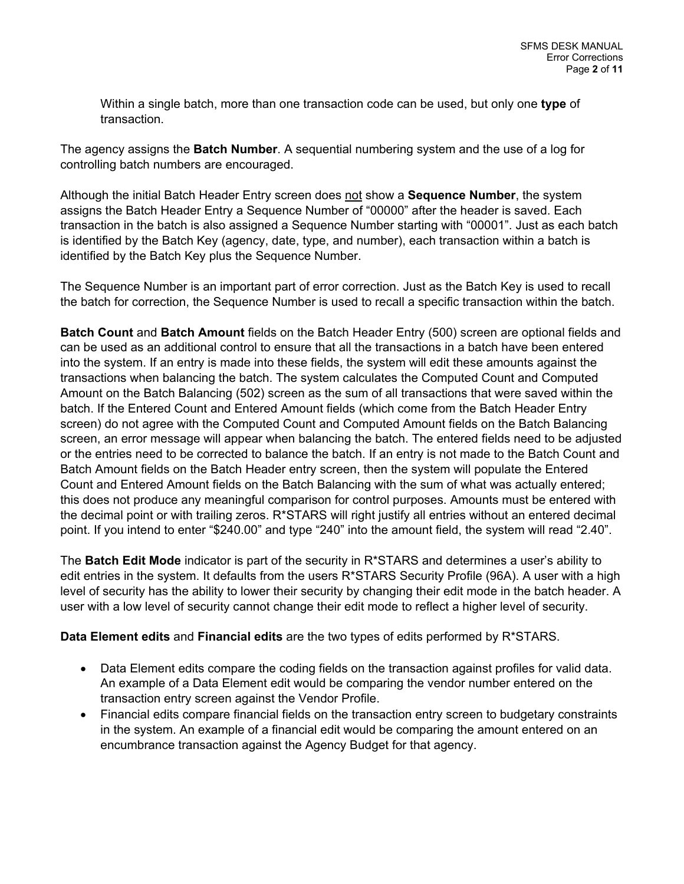Within a single batch, more than one transaction code can be used, but only one **type** of transaction.

The agency assigns the **Batch Number**. A sequential numbering system and the use of a log for controlling batch numbers are encouraged.

Although the initial Batch Header Entry screen does not show a **Sequence Number**, the system assigns the Batch Header Entry a Sequence Number of "00000" after the header is saved. Each transaction in the batch is also assigned a Sequence Number starting with "00001". Just as each batch is identified by the Batch Key (agency, date, type, and number), each transaction within a batch is identified by the Batch Key plus the Sequence Number.

The Sequence Number is an important part of error correction. Just as the Batch Key is used to recall the batch for correction, the Sequence Number is used to recall a specific transaction within the batch.

**Batch Count** and **Batch Amount** fields on the Batch Header Entry (500) screen are optional fields and can be used as an additional control to ensure that all the transactions in a batch have been entered into the system. If an entry is made into these fields, the system will edit these amounts against the transactions when balancing the batch. The system calculates the Computed Count and Computed Amount on the Batch Balancing (502) screen as the sum of all transactions that were saved within the batch. If the Entered Count and Entered Amount fields (which come from the Batch Header Entry screen) do not agree with the Computed Count and Computed Amount fields on the Batch Balancing screen, an error message will appear when balancing the batch. The entered fields need to be adjusted or the entries need to be corrected to balance the batch. If an entry is not made to the Batch Count and Batch Amount fields on the Batch Header entry screen, then the system will populate the Entered Count and Entered Amount fields on the Batch Balancing with the sum of what was actually entered; this does not produce any meaningful comparison for control purposes. Amounts must be entered with the decimal point or with trailing zeros. R\*STARS will right justify all entries without an entered decimal point. If you intend to enter "\$240.00" and type "240" into the amount field, the system will read "2.40".

The **Batch Edit Mode** indicator is part of the security in R\*STARS and determines a user's ability to edit entries in the system. It defaults from the users R\*STARS Security Profile (96A). A user with a high level of security has the ability to lower their security by changing their edit mode in the batch header. A user with a low level of security cannot change their edit mode to reflect a higher level of security.

**Data Element edits** and **Financial edits** are the two types of edits performed by R\*STARS.

- Data Element edits compare the coding fields on the transaction against profiles for valid data. An example of a Data Element edit would be comparing the vendor number entered on the transaction entry screen against the Vendor Profile.
- Financial edits compare financial fields on the transaction entry screen to budgetary constraints in the system. An example of a financial edit would be comparing the amount entered on an encumbrance transaction against the Agency Budget for that agency.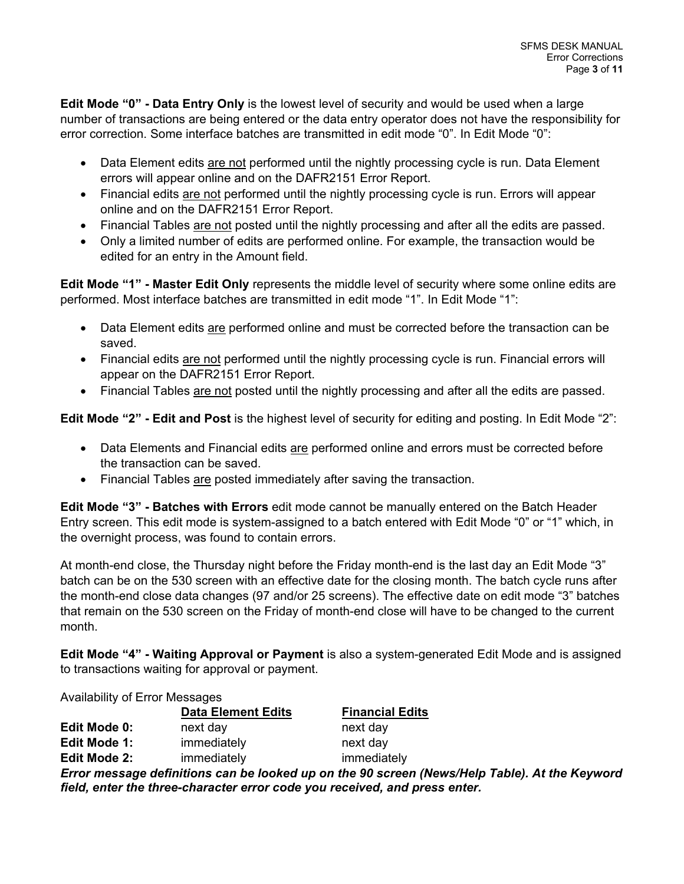**Edit Mode "0" - Data Entry Only** is the lowest level of security and would be used when a large number of transactions are being entered or the data entry operator does not have the responsibility for error correction. Some interface batches are transmitted in edit mode "0". In Edit Mode "0":

- Data Element edits are not performed until the nightly processing cycle is run. Data Element errors will appear online and on the DAFR2151 Error Report.
- Financial edits are not performed until the nightly processing cycle is run. Errors will appear online and on the DAFR2151 Error Report.
- Financial Tables are not posted until the nightly processing and after all the edits are passed.
- Only a limited number of edits are performed online. For example, the transaction would be edited for an entry in the Amount field.

**Edit Mode "1" - Master Edit Only** represents the middle level of security where some online edits are performed. Most interface batches are transmitted in edit mode "1". In Edit Mode "1":

- Data Element edits are performed online and must be corrected before the transaction can be saved.
- Financial edits are not performed until the nightly processing cycle is run. Financial errors will appear on the DAFR2151 Error Report.
- Financial Tables are not posted until the nightly processing and after all the edits are passed.

**Edit Mode "2" - Edit and Post** is the highest level of security for editing and posting. In Edit Mode "2":

- Data Elements and Financial edits are performed online and errors must be corrected before the transaction can be saved.
- Financial Tables are posted immediately after saving the transaction.

**Edit Mode "3" - Batches with Errors** edit mode cannot be manually entered on the Batch Header Entry screen. This edit mode is system-assigned to a batch entered with Edit Mode "0" or "1" which, in the overnight process, was found to contain errors.

At month-end close, the Thursday night before the Friday month-end is the last day an Edit Mode "3" batch can be on the 530 screen with an effective date for the closing month. The batch cycle runs after the month-end close data changes (97 and/or 25 screens). The effective date on edit mode "3" batches that remain on the 530 screen on the Friday of month-end close will have to be changed to the current month.

**Edit Mode "4" - Waiting Approval or Payment** is also a system-generated Edit Mode and is assigned to transactions waiting for approval or payment.

Availability of Error Messages

|                     | <b>Data Element Edits</b> | <b>Financial Edits</b>                                                                             |
|---------------------|---------------------------|----------------------------------------------------------------------------------------------------|
| Edit Mode 0:        | next day                  | next day                                                                                           |
| Edit Mode 1:        | immediately               | next day                                                                                           |
| <b>Edit Mode 2:</b> | immediately               | immediately                                                                                        |
|                     |                           | Fuuen meessaana definitions oon ha loolmal un on the 00 seveen (Neurallela Tehle). At the Kernmand |

*Error message definitions can be looked up on the 90 screen (News/Help Table). At the Keyword field, enter the three-character error code you received, and press enter.*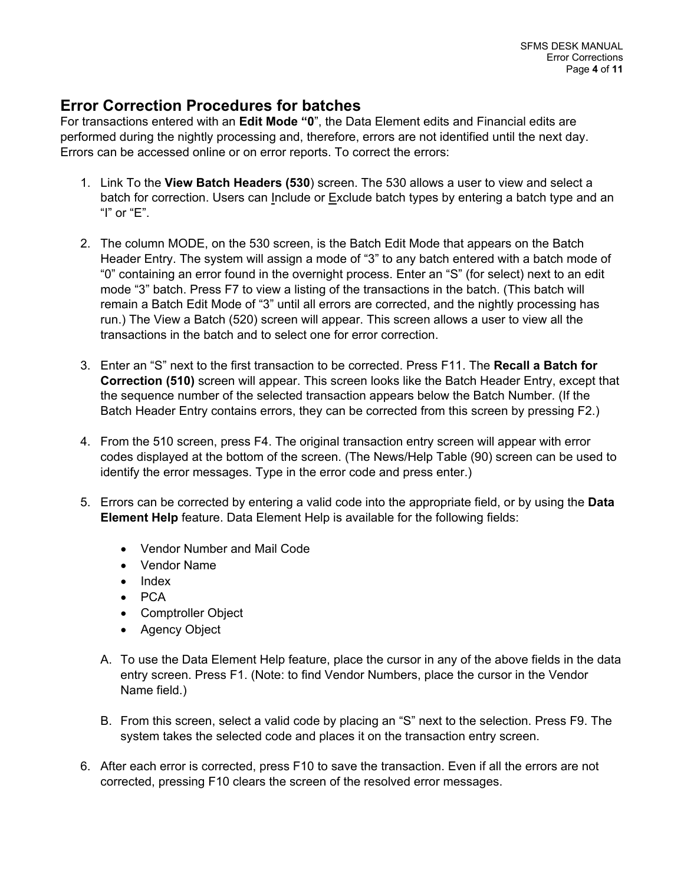### **Error Correction Procedures for batches**

For transactions entered with an **Edit Mode "0**", the Data Element edits and Financial edits are performed during the nightly processing and, therefore, errors are not identified until the next day. Errors can be accessed online or on error reports. To correct the errors:

- 1. Link To the **View Batch Headers (530**) screen. The 530 allows a user to view and select a batch for correction. Users can Include or Exclude batch types by entering a batch type and an "I" or "E".
- 2. The column MODE, on the 530 screen, is the Batch Edit Mode that appears on the Batch Header Entry. The system will assign a mode of "3" to any batch entered with a batch mode of "0" containing an error found in the overnight process. Enter an "S" (for select) next to an edit mode "3" batch. Press F7 to view a listing of the transactions in the batch. (This batch will remain a Batch Edit Mode of "3" until all errors are corrected, and the nightly processing has run.) The View a Batch (520) screen will appear. This screen allows a user to view all the transactions in the batch and to select one for error correction.
- 3. Enter an "S" next to the first transaction to be corrected. Press F11. The **Recall a Batch for Correction (510)** screen will appear. This screen looks like the Batch Header Entry, except that the sequence number of the selected transaction appears below the Batch Number. (If the Batch Header Entry contains errors, they can be corrected from this screen by pressing F2.)
- 4. From the 510 screen, press F4. The original transaction entry screen will appear with error codes displayed at the bottom of the screen. (The News/Help Table (90) screen can be used to identify the error messages. Type in the error code and press enter.)
- 5. Errors can be corrected by entering a valid code into the appropriate field, or by using the **Data Element Help** feature. Data Element Help is available for the following fields:
	- Vendor Number and Mail Code
	- Vendor Name
	- Index
	- PCA
	- Comptroller Object
	- Agency Object
	- A. To use the Data Element Help feature, place the cursor in any of the above fields in the data entry screen. Press F1. (Note: to find Vendor Numbers, place the cursor in the Vendor Name field.)
	- B. From this screen, select a valid code by placing an "S" next to the selection. Press F9. The system takes the selected code and places it on the transaction entry screen.
- 6. After each error is corrected, press F10 to save the transaction. Even if all the errors are not corrected, pressing F10 clears the screen of the resolved error messages.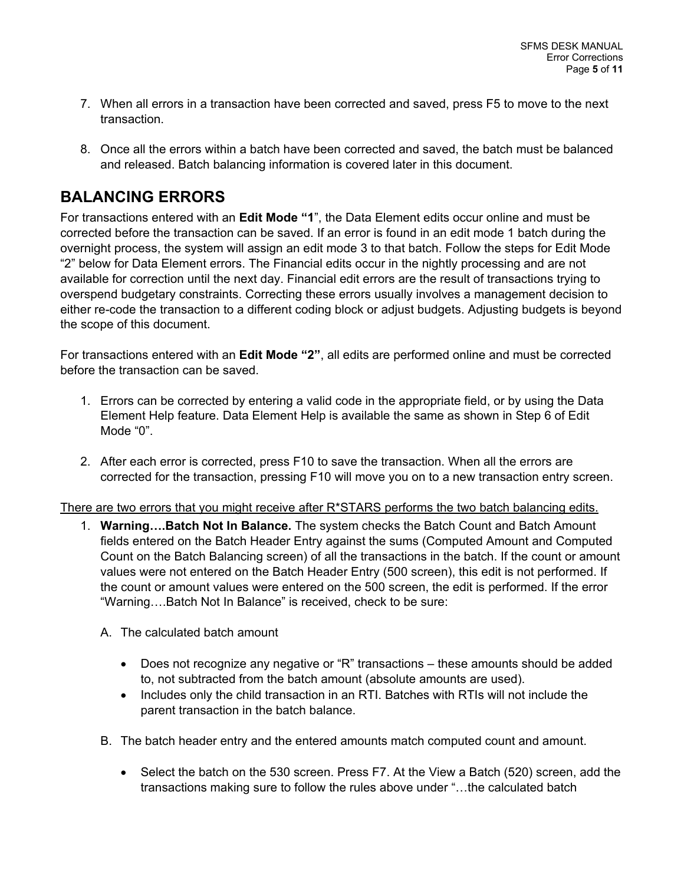- 7. When all errors in a transaction have been corrected and saved, press F5 to move to the next transaction.
- 8. Once all the errors within a batch have been corrected and saved, the batch must be balanced and released. Batch balancing information is covered later in this document.

## **BALANCING ERRORS**

For transactions entered with an **Edit Mode "1**", the Data Element edits occur online and must be corrected before the transaction can be saved. If an error is found in an edit mode 1 batch during the overnight process, the system will assign an edit mode 3 to that batch. Follow the steps for Edit Mode "2" below for Data Element errors. The Financial edits occur in the nightly processing and are not available for correction until the next day. Financial edit errors are the result of transactions trying to overspend budgetary constraints. Correcting these errors usually involves a management decision to either re-code the transaction to a different coding block or adjust budgets. Adjusting budgets is beyond the scope of this document.

For transactions entered with an **Edit Mode "2"**, all edits are performed online and must be corrected before the transaction can be saved.

- 1. Errors can be corrected by entering a valid code in the appropriate field, or by using the Data Element Help feature. Data Element Help is available the same as shown in Step 6 of Edit Mode "0".
- 2. After each error is corrected, press F10 to save the transaction. When all the errors are corrected for the transaction, pressing F10 will move you on to a new transaction entry screen.

There are two errors that you might receive after R\*STARS performs the two batch balancing edits.

- 1. **Warning….Batch Not In Balance.** The system checks the Batch Count and Batch Amount fields entered on the Batch Header Entry against the sums (Computed Amount and Computed Count on the Batch Balancing screen) of all the transactions in the batch. If the count or amount values were not entered on the Batch Header Entry (500 screen), this edit is not performed. If the count or amount values were entered on the 500 screen, the edit is performed. If the error "Warning….Batch Not In Balance" is received, check to be sure:
	- A. The calculated batch amount
		- Does not recognize any negative or "R" transactions these amounts should be added to, not subtracted from the batch amount (absolute amounts are used).
		- Includes only the child transaction in an RTI. Batches with RTIs will not include the parent transaction in the batch balance.
	- B. The batch header entry and the entered amounts match computed count and amount.
		- Select the batch on the 530 screen. Press F7. At the View a Batch (520) screen, add the transactions making sure to follow the rules above under "…the calculated batch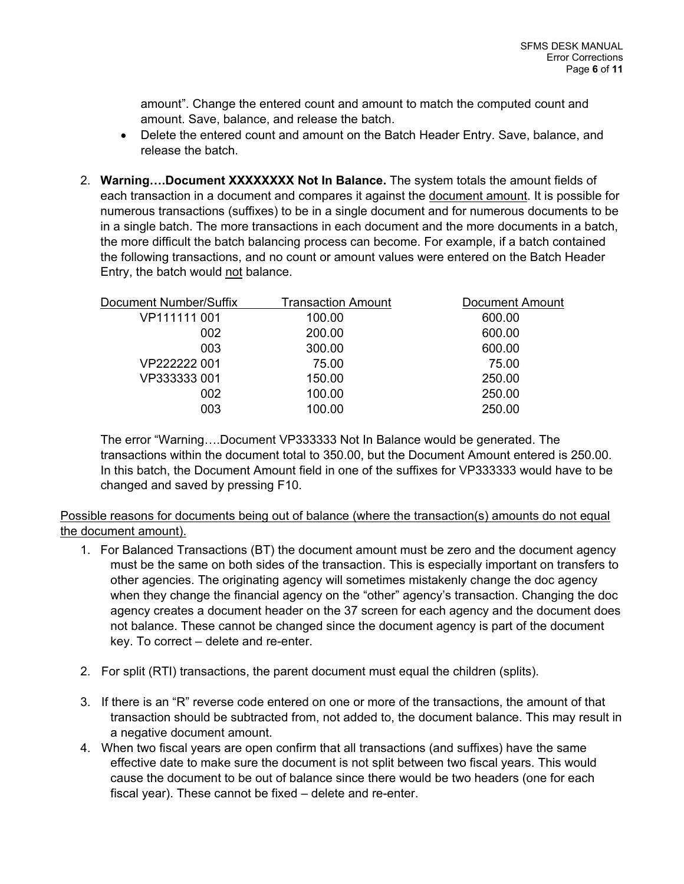amount". Change the entered count and amount to match the computed count and amount. Save, balance, and release the batch.

- Delete the entered count and amount on the Batch Header Entry. Save, balance, and release the batch.
- 2. **Warning….Document XXXXXXXX Not In Balance.** The system totals the amount fields of each transaction in a document and compares it against the document amount. It is possible for numerous transactions (suffixes) to be in a single document and for numerous documents to be in a single batch. The more transactions in each document and the more documents in a batch, the more difficult the batch balancing process can become. For example, if a batch contained the following transactions, and no count or amount values were entered on the Batch Header Entry, the batch would not balance.

| Document Number/Suffix | <b>Transaction Amount</b> | <b>Document Amount</b> |
|------------------------|---------------------------|------------------------|
| VP111111 001           | 100.00                    | 600.00                 |
| 002                    | 200.00                    | 600.00                 |
| 003                    | 300.00                    | 600.00                 |
| VP222222 001           | 75.00                     | 75.00                  |
| VP333333 001           | 150.00                    | 250.00                 |
| 002                    | 100.00                    | 250.00                 |
| 003                    | 100.00                    | 250.00                 |
|                        |                           |                        |

The error "Warning….Document VP333333 Not In Balance would be generated. The transactions within the document total to 350.00, but the Document Amount entered is 250.00. In this batch, the Document Amount field in one of the suffixes for VP333333 would have to be changed and saved by pressing F10.

Possible reasons for documents being out of balance (where the transaction(s) amounts do not equal the document amount).

- 1. For Balanced Transactions (BT) the document amount must be zero and the document agency must be the same on both sides of the transaction. This is especially important on transfers to other agencies. The originating agency will sometimes mistakenly change the doc agency when they change the financial agency on the "other" agency's transaction. Changing the doc agency creates a document header on the 37 screen for each agency and the document does not balance. These cannot be changed since the document agency is part of the document key. To correct – delete and re-enter.
- 2. For split (RTI) transactions, the parent document must equal the children (splits).
- 3. If there is an "R" reverse code entered on one or more of the transactions, the amount of that transaction should be subtracted from, not added to, the document balance. This may result in a negative document amount.
- 4. When two fiscal years are open confirm that all transactions (and suffixes) have the same effective date to make sure the document is not split between two fiscal years. This would cause the document to be out of balance since there would be two headers (one for each fiscal year). These cannot be fixed – delete and re-enter.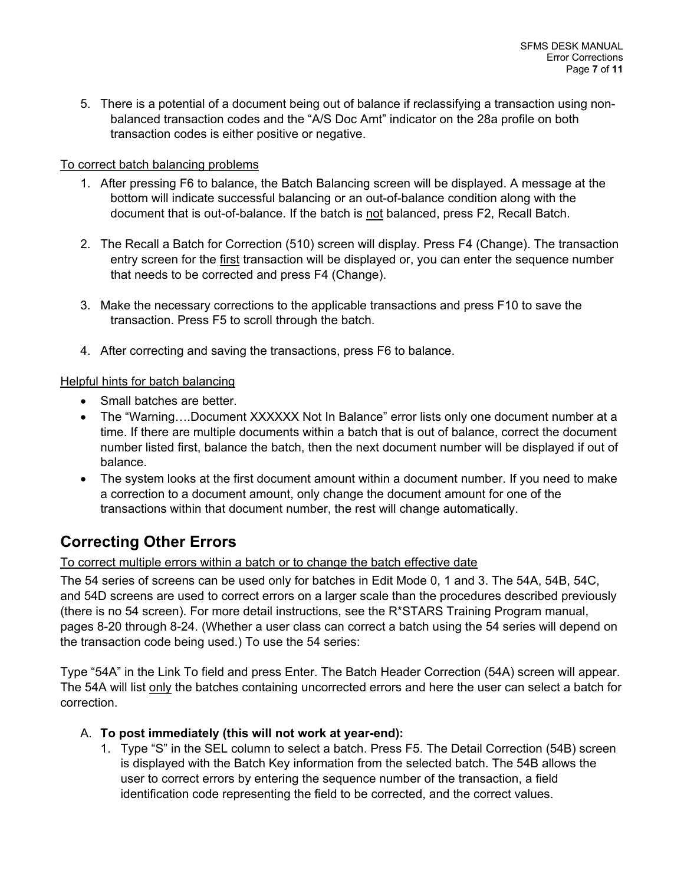5. There is a potential of a document being out of balance if reclassifying a transaction using nonbalanced transaction codes and the "A/S Doc Amt" indicator on the 28a profile on both transaction codes is either positive or negative.

#### To correct batch balancing problems

- 1. After pressing F6 to balance, the Batch Balancing screen will be displayed. A message at the bottom will indicate successful balancing or an out-of-balance condition along with the document that is out-of-balance. If the batch is not balanced, press F2, Recall Batch.
- 2. The Recall a Batch for Correction (510) screen will display. Press F4 (Change). The transaction entry screen for the first transaction will be displayed or, you can enter the sequence number that needs to be corrected and press F4 (Change).
- 3. Make the necessary corrections to the applicable transactions and press F10 to save the transaction. Press F5 to scroll through the batch.
- 4. After correcting and saving the transactions, press F6 to balance.

#### Helpful hints for batch balancing

- Small batches are better.
- The "Warning....Document XXXXXX Not In Balance" error lists only one document number at a time. If there are multiple documents within a batch that is out of balance, correct the document number listed first, balance the batch, then the next document number will be displayed if out of balance.
- The system looks at the first document amount within a document number. If you need to make a correction to a document amount, only change the document amount for one of the transactions within that document number, the rest will change automatically.

## **Correcting Other Errors**

#### To correct multiple errors within a batch or to change the batch effective date

The 54 series of screens can be used only for batches in Edit Mode 0, 1 and 3. The 54A, 54B, 54C, and 54D screens are used to correct errors on a larger scale than the procedures described previously (there is no 54 screen). For more detail instructions, see the R\*STARS Training Program manual, pages 8-20 through 8-24. (Whether a user class can correct a batch using the 54 series will depend on the transaction code being used.) To use the 54 series:

Type "54A" in the Link To field and press Enter. The Batch Header Correction (54A) screen will appear. The 54A will list only the batches containing uncorrected errors and here the user can select a batch for correction.

#### A. **To post immediately (this will not work at year-end):**

1. Type "S" in the SEL column to select a batch. Press F5. The Detail Correction (54B) screen is displayed with the Batch Key information from the selected batch. The 54B allows the user to correct errors by entering the sequence number of the transaction, a field identification code representing the field to be corrected, and the correct values.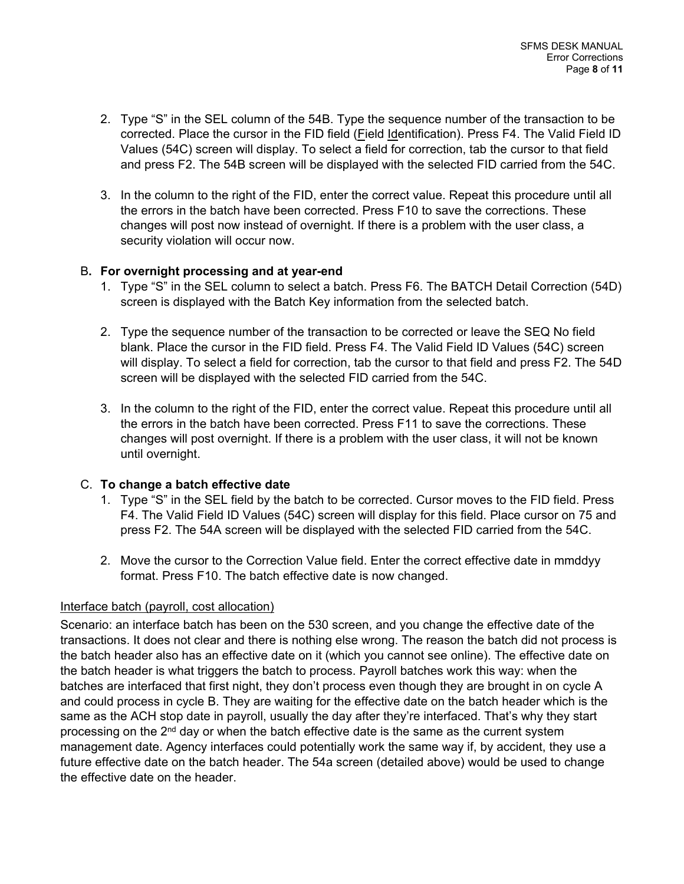- 2. Type "S" in the SEL column of the 54B. Type the sequence number of the transaction to be corrected. Place the cursor in the FID field (Field Identification). Press F4. The Valid Field ID Values (54C) screen will display. To select a field for correction, tab the cursor to that field and press F2. The 54B screen will be displayed with the selected FID carried from the 54C.
- 3. In the column to the right of the FID, enter the correct value. Repeat this procedure until all the errors in the batch have been corrected. Press F10 to save the corrections. These changes will post now instead of overnight. If there is a problem with the user class, a security violation will occur now.

#### B**. For overnight processing and at year-end**

- 1. Type "S" in the SEL column to select a batch. Press F6. The BATCH Detail Correction (54D) screen is displayed with the Batch Key information from the selected batch.
- 2. Type the sequence number of the transaction to be corrected or leave the SEQ No field blank. Place the cursor in the FID field. Press F4. The Valid Field ID Values (54C) screen will display. To select a field for correction, tab the cursor to that field and press F2. The 54D screen will be displayed with the selected FID carried from the 54C.
- 3. In the column to the right of the FID, enter the correct value. Repeat this procedure until all the errors in the batch have been corrected. Press F11 to save the corrections. These changes will post overnight. If there is a problem with the user class, it will not be known until overnight.

#### C. **To change a batch effective date**

- 1. Type "S" in the SEL field by the batch to be corrected. Cursor moves to the FID field. Press F4. The Valid Field ID Values (54C) screen will display for this field. Place cursor on 75 and press F2. The 54A screen will be displayed with the selected FID carried from the 54C.
- 2. Move the cursor to the Correction Value field. Enter the correct effective date in mmddyy format. Press F10. The batch effective date is now changed.

#### Interface batch (payroll, cost allocation)

Scenario: an interface batch has been on the 530 screen, and you change the effective date of the transactions. It does not clear and there is nothing else wrong. The reason the batch did not process is the batch header also has an effective date on it (which you cannot see online). The effective date on the batch header is what triggers the batch to process. Payroll batches work this way: when the batches are interfaced that first night, they don't process even though they are brought in on cycle A and could process in cycle B. They are waiting for the effective date on the batch header which is the same as the ACH stop date in payroll, usually the day after they're interfaced. That's why they start processing on the  $2<sup>nd</sup>$  day or when the batch effective date is the same as the current system management date. Agency interfaces could potentially work the same way if, by accident, they use a future effective date on the batch header. The 54a screen (detailed above) would be used to change the effective date on the header.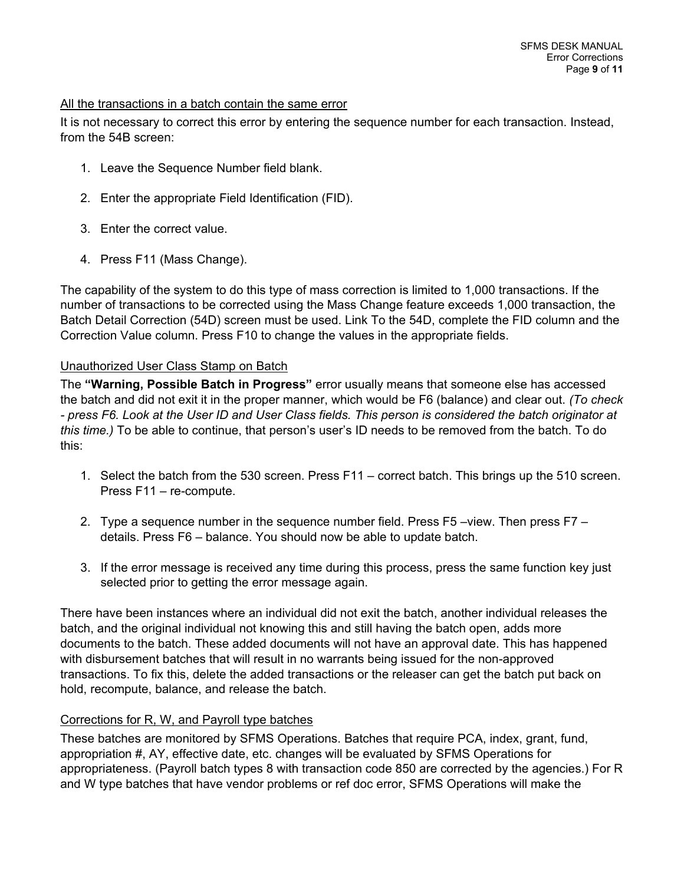#### All the transactions in a batch contain the same error

It is not necessary to correct this error by entering the sequence number for each transaction. Instead, from the 54B screen:

- 1. Leave the Sequence Number field blank.
- 2. Enter the appropriate Field Identification (FID).
- 3. Enter the correct value.
- 4. Press F11 (Mass Change).

The capability of the system to do this type of mass correction is limited to 1,000 transactions. If the number of transactions to be corrected using the Mass Change feature exceeds 1,000 transaction, the Batch Detail Correction (54D) screen must be used. Link To the 54D, complete the FID column and the Correction Value column. Press F10 to change the values in the appropriate fields.

#### Unauthorized User Class Stamp on Batch

The **"Warning, Possible Batch in Progress"** error usually means that someone else has accessed the batch and did not exit it in the proper manner, which would be F6 (balance) and clear out. *(To check - press F6. Look at the User ID and User Class fields. This person is considered the batch originator at this time.)* To be able to continue, that person's user's ID needs to be removed from the batch. To do this:

- 1. Select the batch from the 530 screen. Press F11 correct batch. This brings up the 510 screen. Press F11 – re-compute.
- 2. Type a sequence number in the sequence number field. Press F5 –view. Then press F7 details. Press F6 – balance. You should now be able to update batch.
- 3. If the error message is received any time during this process, press the same function key just selected prior to getting the error message again.

There have been instances where an individual did not exit the batch, another individual releases the batch, and the original individual not knowing this and still having the batch open, adds more documents to the batch. These added documents will not have an approval date. This has happened with disbursement batches that will result in no warrants being issued for the non-approved transactions. To fix this, delete the added transactions or the releaser can get the batch put back on hold, recompute, balance, and release the batch.

#### Corrections for R, W, and Payroll type batches

These batches are monitored by SFMS Operations. Batches that require PCA, index, grant, fund, appropriation #, AY, effective date, etc. changes will be evaluated by SFMS Operations for appropriateness. (Payroll batch types 8 with transaction code 850 are corrected by the agencies.) For R and W type batches that have vendor problems or ref doc error, SFMS Operations will make the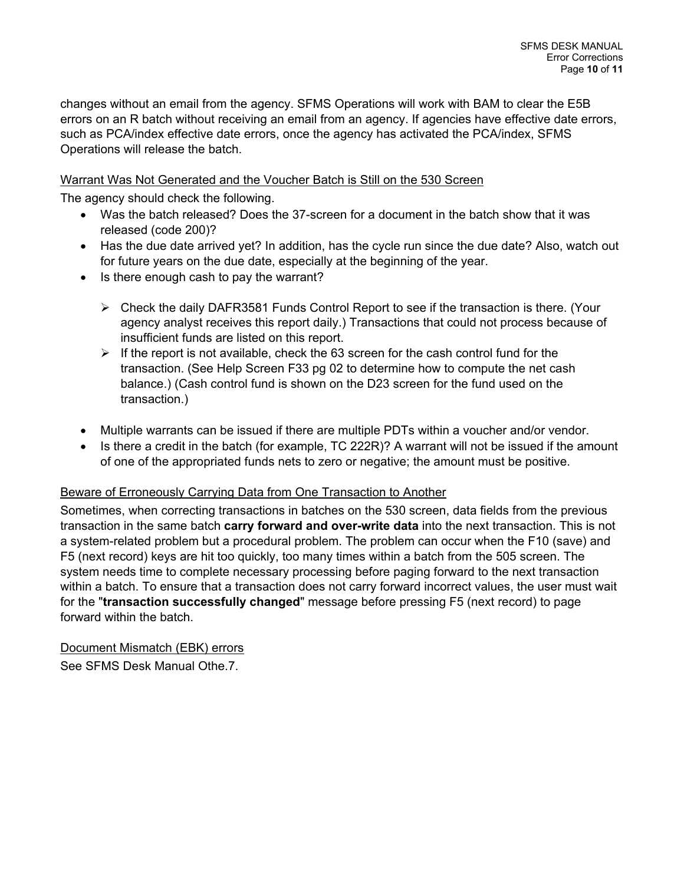changes without an email from the agency. SFMS Operations will work with BAM to clear the E5B errors on an R batch without receiving an email from an agency. If agencies have effective date errors, such as PCA/index effective date errors, once the agency has activated the PCA/index, SFMS Operations will release the batch.

#### Warrant Was Not Generated and the Voucher Batch is Still on the 530 Screen

The agency should check the following.

- Was the batch released? Does the 37-screen for a document in the batch show that it was released (code 200)?
- Has the due date arrived yet? In addition, has the cycle run since the due date? Also, watch out for future years on the due date, especially at the beginning of the year.
- Is there enough cash to pay the warrant?
	- $\triangleright$  Check the daily DAFR3581 Funds Control Report to see if the transaction is there. (Your agency analyst receives this report daily.) Transactions that could not process because of insufficient funds are listed on this report.
	- $\triangleright$  If the report is not available, check the 63 screen for the cash control fund for the transaction. (See Help Screen F33 pg 02 to determine how to compute the net cash balance.) (Cash control fund is shown on the D23 screen for the fund used on the transaction.)
- Multiple warrants can be issued if there are multiple PDTs within a voucher and/or vendor.
- Is there a credit in the batch (for example, TC 222R)? A warrant will not be issued if the amount of one of the appropriated funds nets to zero or negative; the amount must be positive.

#### Beware of Erroneously Carrying Data from One Transaction to Another

Sometimes, when correcting transactions in batches on the 530 screen, data fields from the previous transaction in the same batch **carry forward and over-write data** into the next transaction. This is not a system-related problem but a procedural problem. The problem can occur when the F10 (save) and F5 (next record) keys are hit too quickly, too many times within a batch from the 505 screen. The system needs time to complete necessary processing before paging forward to the next transaction within a batch. To ensure that a transaction does not carry forward incorrect values, the user must wait for the "**transaction successfully changed**" message before pressing F5 (next record) to page forward within the batch.

Document Mismatch (EBK) errors See SFMS Desk Manual Othe.7.